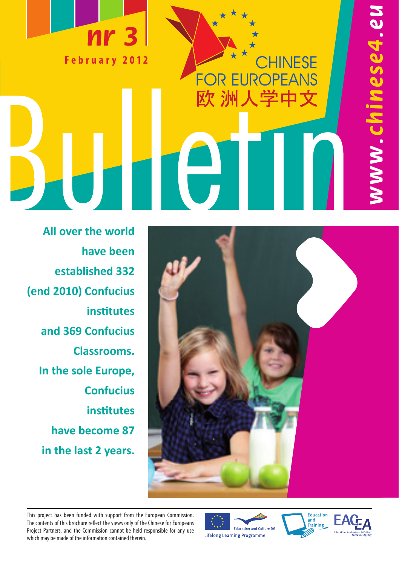

CHINESE **FOR EUROPEANS** 欧 洲人学中文

 $\sqrt{2}$ 

**All over the world have been established 332 (end 2010) Confucius institutes and 369 Confucius Classrooms. In the sole Europe, Confucius institutes have become 87 in the last 2 years.**



This project has been funded with support from the European Commission. The contents of this brochure reflect the views only of the Chinese for Europeans Project Partners, and the Commission cannot be held responsible for any use which may be made of the information contained therein.







NW.chinese4.eu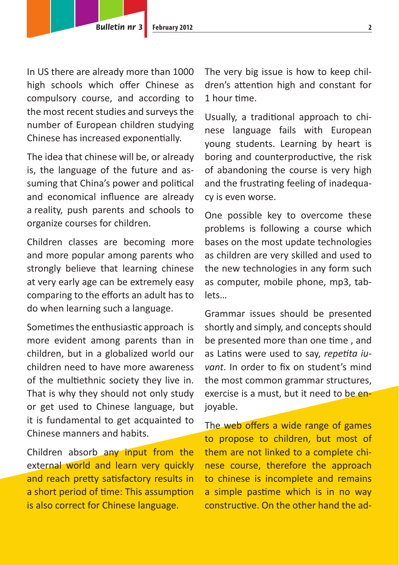In US there are already more than 1000 high schools which offer Chinese as compulsory course, and according to the most recent studies and surveys the number of European children studying Chinese has increased exponentially.

The idea that chinese will be, or already is, the language of the future and assuming that China's power and political and economical influence are already a reality, push parents and schools to organize courses for children.

Children classes are becoming more and more popular among parents who strongly believe that learning chinese at very early age can be extremely easy comparing to the efforts an adult has to do when learning such a language.

Sometimes the enthusiastic approach is more evident among parents than in children, but in a globalized world our children need to have more awareness of the multiethnic society they live in. That is why they should not only study or get used to Chinese language, but it is fundamental to get acquainted to Chinese manners and habits.

Children absorb any input from the external world and learn very quickly and reach pretty satisfactory results in a short period of time: This assumption is also correct for Chinese language.

The very big issue is how to keep children's attention high and constant for 1 hour time.

Usually, a traditional approach to chinese language fails with European young students. Learning by heart is boring and counterproductive, the risk of abandoning the course is very high and the frustrating feeling of inadequacy is even worse.

One possible key to overcome these problems is following a course which bases on the most update technologies as children are very skilled and used to the new technologies in any form such as computer, mobile phone, mp3, tablets…

Grammar issues should be presented shortly and simply, and concepts should be presented more than one time , and as Latins were used to say, *repetita iuvant*. In order to fix on student's mind the most common grammar structures, exercise is a must, but it need to be enjoyable.

The web offers a wide range of games to propose to children, but most of them are not linked to a complete chinese course, therefore the approach to chinese is incomplete and remains a simple pastime which is in no way constructive. On the other hand the ad-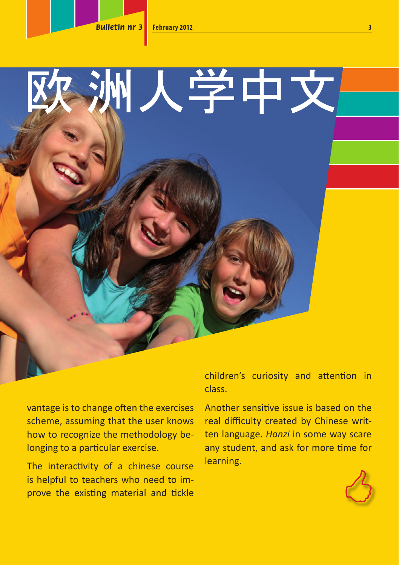

vantage is to change often the exercises scheme, assuming that the user knows how to recognize the methodology belonging to a particular exercise.

The interactivity of a chinese course is helpful to teachers who need to improve the existing material and tickle class.

Another sensitive issue is based on the real difficulty created by Chinese written language. *Hanzi* in some way scare any student, and ask for more time for learning.